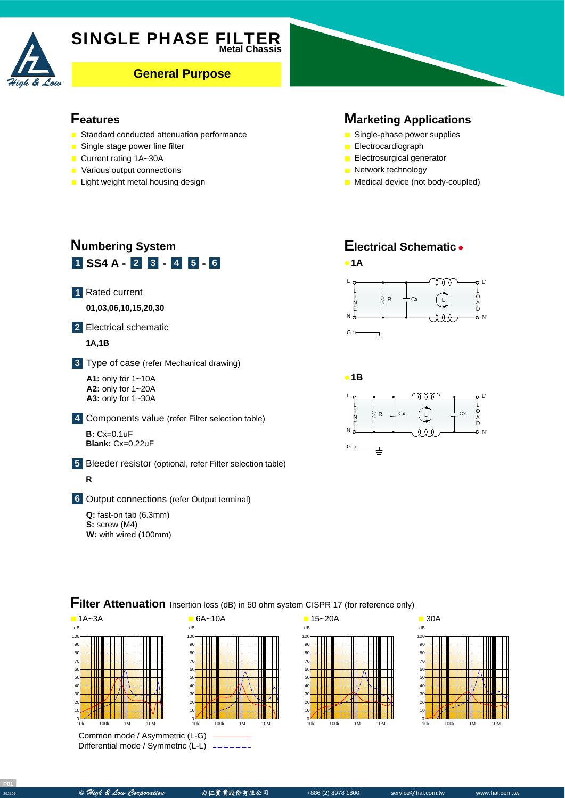

# **SINGLE PHASE FILTER**

**General Purpose** 

#### **Features**

- Standard conducted attenuation performance
- Single stage power line filter
- Current rating 1A~30A
- **Various output connections**
- $\blacksquare$  Light weight metal housing design

#### **Marketing Applications**

- Single-phase power supplies
- **Electrocardiograph**
- **Electrosurgical generator**
- **Network technology**
- **Medical device (not body-coupled)**

# **1 SS4** A - **2 3** - **4 5** - **6 Numbering System** Rated current **1** A **01,03,06,10,15,20,30** Electrical schematic **2 1A,1B** Type of case (refer Mechanical drawing) **3** A **A1:** only for 1~10A **A2:** only for 1~20A **A3:** only for 1~30A Components value (refer Filter selection table) **4 B**: Cx=0.1uF **Blank:** Cx=0.22uF Bleeder resistor (optional, refer Filter selection table) **5 R**

Output connections (refer Output terminal) **6**

**Q:** fast-on tab (6.3mm) **S:** screw (M4) **W:** with wired (100mm)

# **Electrical Schematic**





### **Filter Attenuation** Insertion loss (dB) in 50 ohm system CISPR 17 (for reference only)



Common mode / Asymmetric (L-G) Differential mode / Symmetric (L-L)





**P01**

**<sup>202109</sup> ©** High & Low Corporation 力征實業股份有限公司 +886 (2) 8978 1800 service@hal.com.tw www.hal.com.tw